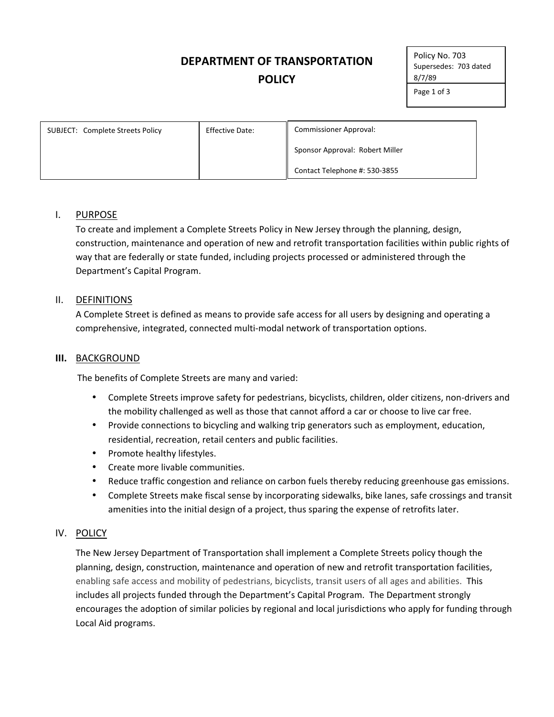# **DEPARTMENT
OF
TRANSPORTATION POLICY**

Policy
No. 703 Supersedes:

703
dated 8/7/89

Page
1
of
3

| SUBJECT: Complete Streets Policy | <b>Effective Date:</b> | <b>Commissioner Approval:</b>   |  |
|----------------------------------|------------------------|---------------------------------|--|
|                                  |                        | Sponsor Approval: Robert Miller |  |
|                                  |                        | Contact Telephone #: 530-3855   |  |

### I. PURPOSE

To create and implement a Complete Streets Policy in New Jersey through the planning, design, construction, maintenance and operation of new and retrofit transportation facilities within public rights of way that are federally or state funded, including projects processed or administered through the Department's
Capital
Program.

### II. DEFINITIONS

A Complete Street is defined as means to provide safe access for all users by designing and operating a comprehensive,
integrated,
connected
multi‐modal
network
of
transportation
options.

### **III.** BACKGROUND

The
benefits
of
Complete
Streets
are
many
and
varied:

- Complete Streets improve safety for pedestrians, bicyclists, children, older citizens, non-drivers and the
mobility
challenged
as
well
as
those
that
cannot
afford
a
car
or
choose
to
live
car
free.
- Provide connections to bicycling and walking trip generators such as employment, education, residential,
recreation,
retail
centers
and
public
facilities.
- Promote healthy lifestyles.
- Create more livable communities.
- Reduce traffic congestion and reliance on carbon fuels thereby reducing greenhouse gas emissions.
- Complete Streets make fiscal sense by incorporating sidewalks, bike lanes, safe crossings and transit amenities into the initial design of a project, thus sparing the expense of retrofits later.

# IV. POLICY

The
New
Jersey
Department
of
Transportation
shall
implement
a
Complete
Streets
policy
though
the planning, design, construction, maintenance and operation of new and retrofit transportation facilities, enabling safe access and mobility of pedestrians, bicyclists, transit users of all ages and abilities. This includes all projects funded through the Department's Capital Program. The Department strongly encourages the adoption of similar policies by regional and local jurisdictions who apply for funding through Local
Aid
programs.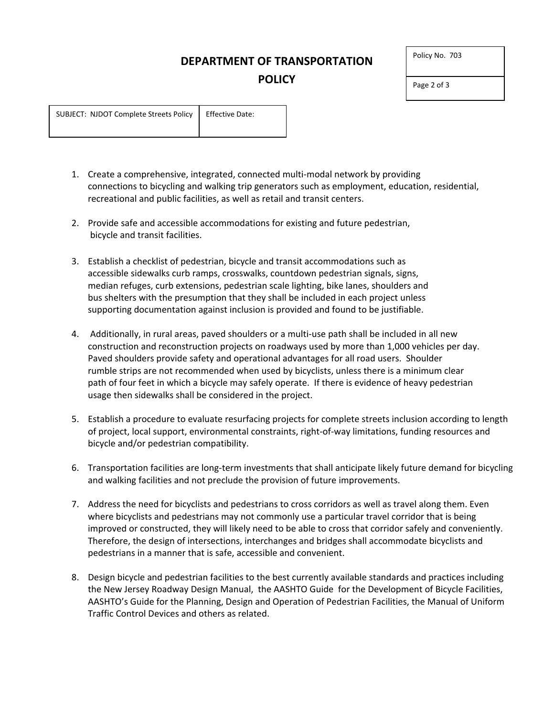# **DEPARTMENT
OF
TRANSPORTATION POLICY**

| Policy No. 703 |  |
|----------------|--|
|----------------|--|

Page
2
of
3

SUBJECT:

NJDOT
Complete
Streets
Policy Effective
Date:

- 1. Create
a
comprehensive,
integrated,
connected
multi‐modal
network
by
providing connections to
bicycling
and
walking
trip
generators
such
as
employment,
education,
residential, recreational and public facilities, as well as retail and transit centers.
- 2. Provide
safe
and
accessible
accommodations
for
existing
and
future
pedestrian, bicycle
and
transit
facilities.
- 3. Establish
a
checklist
of
pedestrian,
bicycle
and
transit
accommodations
such
as accessible
sidewalks
curb
ramps,
crosswalks,
countdown
pedestrian
signals,
signs, median refuges, curb extensions, pedestrian scale lighting, bike lanes, shoulders and bus
shelters
with
the
presumption
that
they
shall
be
included
in
each
project
unless supporting
documentation
against
inclusion
is
provided
and
found
to
be
justifiable.
- 4. Additionally, in rural areas, paved shoulders or a multi-use path shall be included in all new construction
and reconstruction
projects
on
roadways
used
by
more
than
1,000
vehicles
per
day. Paved shoulders provide safety and operational advantages for all road users. Shoulder rumble strips are not recommended when used by bicyclists, unless there is a minimum clear path of four feet in which a bicycle may safely operate. If there is evidence of heavy pedestrian usage
then
sidewalks
shall
be
considered
in
the
project.
- 5. Establish a procedure to evaluate resurfacing projects for complete streets inclusion according to length of
project,
local
support, environmental
constraints,
right‐of‐way
limitations,
funding
resources
and bicycle
and/or
pedestrian
compatibility.
- 6. Transportation facilities are long-term investments that shall anticipate likely future demand for bicycling and
walking facilities
and
not
preclude
the
provision
of
future
improvements.
- 7. Address the need for bicyclists and pedestrians to cross corridors as well as travel along them. Even where bicyclists and pedestrians may not commonly use a particular travel corridor that is being improved or constructed, they will likely need to be able to cross that corridor safely and conveniently. Therefore,
the
design
of
intersections,
interchanges
and
bridges
shall
accommodate
bicyclists
and pedestrians
in
a
manner
that
is
safe,
accessible
and
convenient.
- 8. Design bicycle and pedestrian facilities to the best currently available standards and practices including the New Jersey Roadway Design Manual, the AASHTO Guide for the Development of Bicycle Facilities, AASHTO's
Guide
for
the
Planning,
Design
and
Operation
of
Pedestrian
Facilities,
the
Manual
of
Uniform Traffic
Control
Devices
and
others
as
related.